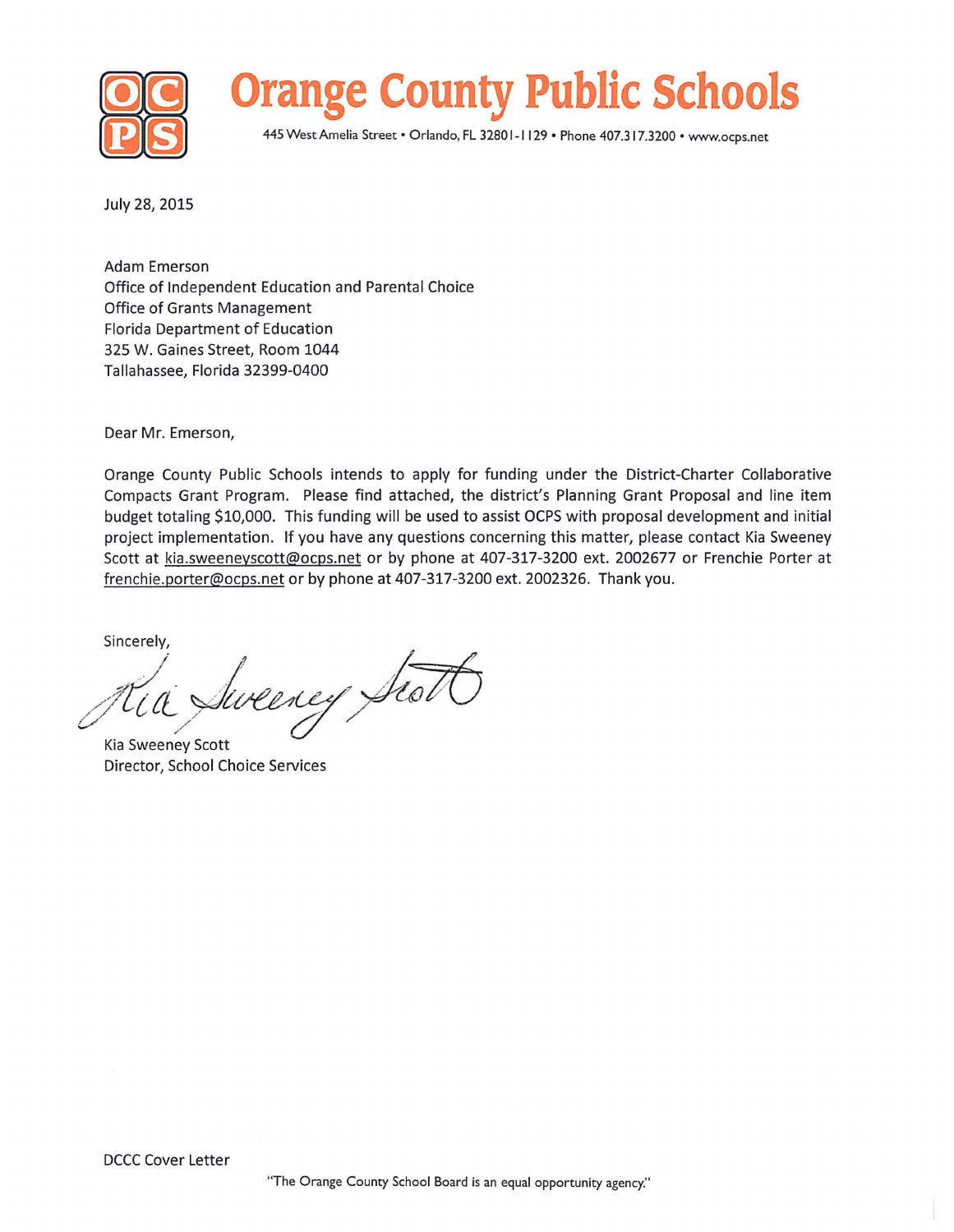



445 West Amelia Street • Orlando, FL 3280 1-1 129 • Phone 407.317.3200 • www.ocps.net

July *28,* 2015

Adam Emerson Office of Independent Education and Parental Choice Office of Grants Management Florida Department of Education 325 W. Gaines Street, Room 1044 Tallahassee, Florida 32399-0400

Dear Mr. Emerson,

Orange County Public Schools intends to apply for funding under the District-Charter Collaborative Compacts Grant Program. Please find attached, the district's Planning Grant Proposal and line item budget totaling \$10,000. This funding will be used to assist OCPS with proposal development and initial project implementation. If you have any questions concerning this matter, please contact Kia Sweeney Scott at kia.sweeneyscott@ocps.net or by phone at 407-317-3200 ext. 2002677 or Frenchie Porter at frenchie.porter@ocps.net or by phone at 407-317-3200 ext. 2002326. Thank you.

Sincerely,

Jueeney Fioi

Kia Sweeney Scott Director, School Choice Services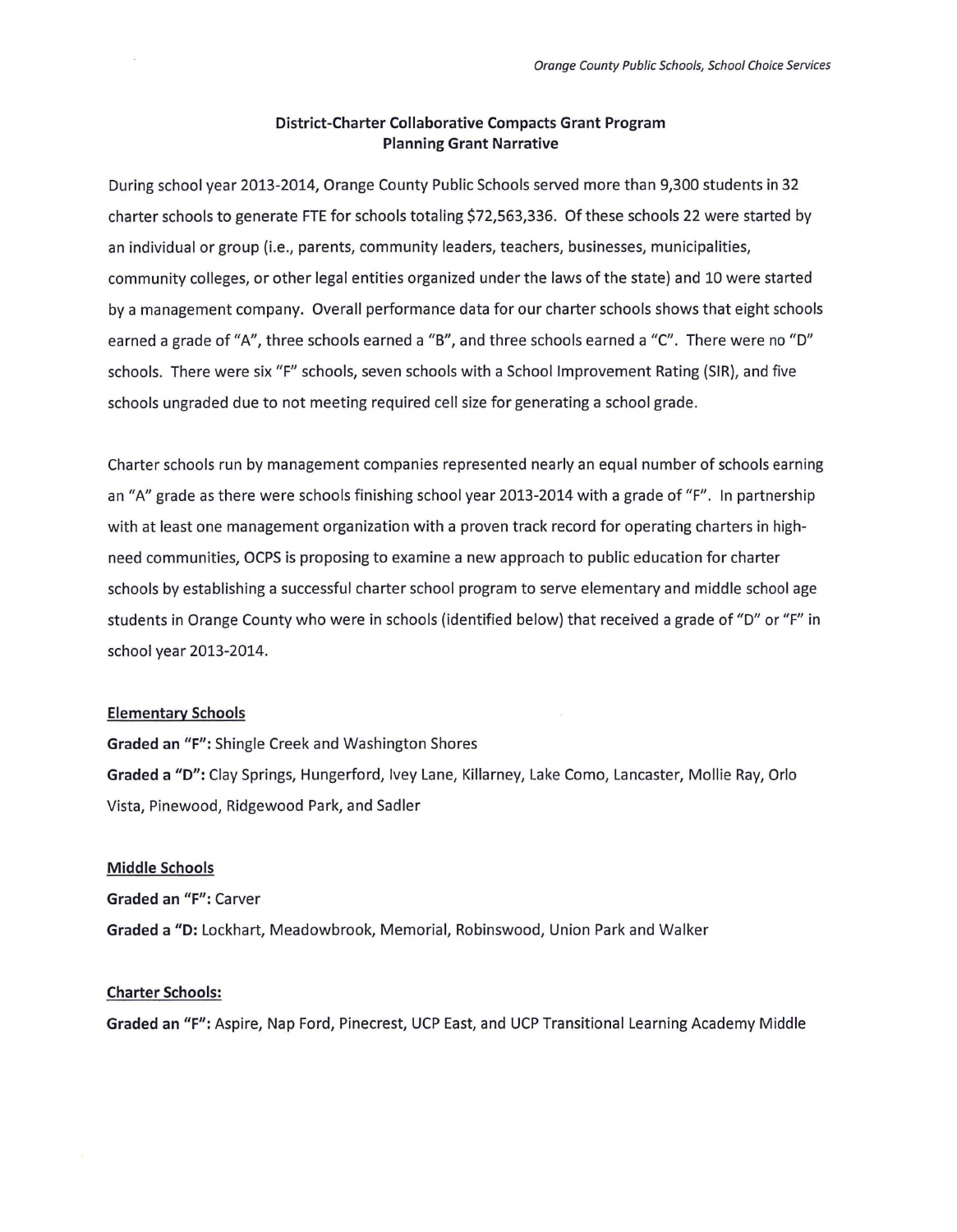## District-Charter Collaborative Compacts Grant Program Planning Grant Narrative

During school year 2013 -2014, Orange County Public Schools served more than 9,300 students in 32 charter schools to generate FTE for schools totaling \$72,563,336. Of these schools 22 were started by an individual or group (i.e., parents, community leaders, teachers, businesses, municipalities, community colleges, or other legal entities organized under the laws of the state) and 10 were started by a management company. Overall performance data for our charter schools shows that eight schools earned a grade of "A", three schools earned a "B", and three schools earned a "C". There were no "D" schools. There were six "F" schools, seven schools with a School Improvement Rating (SIR), and five schools ungraded due to not meeting required cell size for generating a school grade .

Charter schools run by management companies represented nearly an equal number of schools earning an "A" grade as there were schools finishing school year 2013-2014 with a grade of "F". In partnership with at least one management organization with a proven track record for operating charters in high need communities, OCPS is proposing to examine a new approach to public education for charter schools by establishing a successful charter school program to serve elementary and middle school age students in Orange County who were in schools (identified below) that received a grade of "D" or "F" in school year 2013-2014.

## Elementary Schools

Graded an "F": Shingle Creek and Washington Shores Graded a "D": Clay Springs, Hungerford, lvey Lane, Killarney, Lake Como, Lancaster, Mollie Ray, Orlo Vista, Pinewood, Ridgewood Park, and Sadler

## Middle Schools

Graded an "F": Carver Graded a "D: Lockhart, Meadowbrook, Memorial, Robinswood, Union Park and Walker

## Charter Schools:

Graded an "F": Aspire, Nap Ford, Pinecrest, UCP East, and UCP Transitional Learning Academy Middle